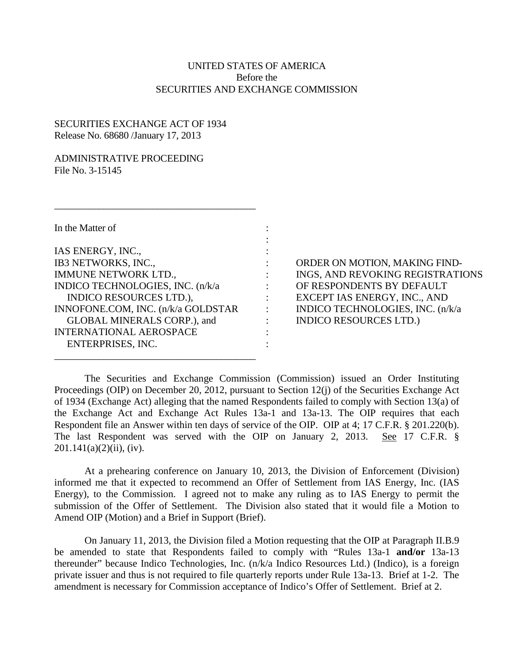# UNITED STATES OF AMERICA Before the SECURITIES AND EXCHANGE COMMISSION

:

# SECURITIES EXCHANGE ACT OF 1934 Release No. 68680 /January 17, 2013

# ADMINISTRATIVE PROCEEDING File No. 3-15145

| In the Matter of                   |  |
|------------------------------------|--|
| IAS ENERGY, INC.,                  |  |
| IB3 NETWORKS, INC.,                |  |
| <b>IMMUNE NETWORK LTD.,</b>        |  |
| INDICO TECHNOLOGIES, INC. (n/k/a   |  |
| <b>INDICO RESOURCES LTD.),</b>     |  |
| INNOFONE.COM, INC. (n/k/a GOLDSTAR |  |
| GLOBAL MINERALS CORP.), and        |  |
| <b>INTERNATIONAL AEROSPACE</b>     |  |
| ENTERPRISES, INC.                  |  |

 $\frac{1}{2}$  ,  $\frac{1}{2}$  ,  $\frac{1}{2}$  ,  $\frac{1}{2}$  ,  $\frac{1}{2}$  ,  $\frac{1}{2}$  ,  $\frac{1}{2}$  ,  $\frac{1}{2}$  ,  $\frac{1}{2}$  ,  $\frac{1}{2}$  ,  $\frac{1}{2}$  ,  $\frac{1}{2}$  ,  $\frac{1}{2}$  ,  $\frac{1}{2}$  ,  $\frac{1}{2}$  ,  $\frac{1}{2}$  ,  $\frac{1}{2}$  ,  $\frac{1}{2}$  ,  $\frac{1$ 

 $\frac{1}{2}$  ,  $\frac{1}{2}$  ,  $\frac{1}{2}$  ,  $\frac{1}{2}$  ,  $\frac{1}{2}$  ,  $\frac{1}{2}$  ,  $\frac{1}{2}$  ,  $\frac{1}{2}$  ,  $\frac{1}{2}$  ,  $\frac{1}{2}$  ,  $\frac{1}{2}$  ,  $\frac{1}{2}$  ,  $\frac{1}{2}$  ,  $\frac{1}{2}$  ,  $\frac{1}{2}$  ,  $\frac{1}{2}$  ,  $\frac{1}{2}$  ,  $\frac{1}{2}$  ,  $\frac{1$ 

: ORDER ON MOTION, MAKING FIND-: INGS, AND REVOKING REGISTRATIONS : OF RESPONDENTS BY DEFAULT INDICO RESOURCE RESOURCES LINDICO RESOURCES LTD. (SIND RESOURCES LINES),  $\mathbb{R}$ : INDICO TECHNOLOGIES, INC. (n/k/a : INDICO RESOURCES LTD.)

The Securities and Exchange Commission (Commission) issued an Order Instituting Proceedings (OIP) on December 20, 2012, pursuant to Section 12(j) of the Securities Exchange Act of 1934 (Exchange Act) alleging that the named Respondents failed to comply with Section 13(a) of the Exchange Act and Exchange Act Rules 13a-1 and 13a-13. The OIP requires that each Respondent file an Answer within ten days of service of the OIP. OIP at 4; 17 C.F.R. § 201.220(b). The last Respondent was served with the OIP on January 2, 2013. See 17 C.F.R. §  $201.141(a)(2)(ii)$ , (iv).

At a prehearing conference on January 10, 2013, the Division of Enforcement (Division) informed me that it expected to recommend an Offer of Settlement from IAS Energy, Inc. (IAS Energy), to the Commission. I agreed not to make any ruling as to IAS Energy to permit the submission of the Offer of Settlement. The Division also stated that it would file a Motion to Amend OIP (Motion) and a Brief in Support (Brief).

On January 11, 2013, the Division filed a Motion requesting that the OIP at Paragraph II.B.9 be amended to state that Respondents failed to comply with "Rules 13a-1 **and/or** 13a-13 thereunder" because Indico Technologies, Inc. (n/k/a Indico Resources Ltd.) (Indico), is a foreign private issuer and thus is not required to file quarterly reports under Rule 13a-13. Brief at 1-2. The amendment is necessary for Commission acceptance of Indico's Offer of Settlement. Brief at 2.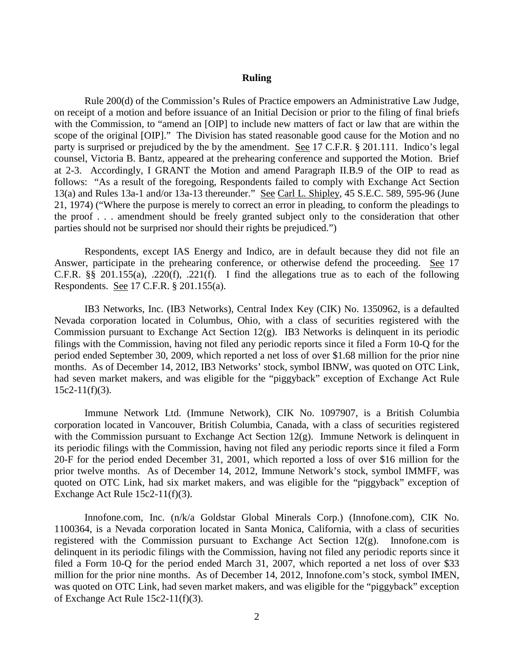### **Ruling**

Rule 200(d) of the Commission's Rules of Practice empowers an Administrative Law Judge, on receipt of a motion and before issuance of an Initial Decision or prior to the filing of final briefs with the Commission, to "amend an [OIP] to include new matters of fact or law that are within the scope of the original [OIP]." The Division has stated reasonable good cause for the Motion and no party is surprised or prejudiced by the by the amendment. See 17 C.F.R. § 201.111. Indico's legal counsel, Victoria B. Bantz, appeared at the prehearing conference and supported the Motion. Brief at 2-3. Accordingly, I GRANT the Motion and amend Paragraph II.B.9 of the OIP to read as follows: "As a result of the foregoing, Respondents failed to comply with Exchange Act Section 13(a) and Rules 13a-1 and/or 13a-13 thereunder." See Carl L. Shipley, 45 S.E.C. 589, 595-96 (June 21, 1974) ("Where the purpose is merely to correct an error in pleading, to conform the pleadings to the proof . . . amendment should be freely granted subject only to the consideration that other parties should not be surprised nor should their rights be prejudiced.")

Respondents, except IAS Energy and Indico, are in default because they did not file an Answer, participate in the prehearing conference, or otherwise defend the proceeding. See 17 C.F.R.  $\S$ § 201.155(a), .220(f), .221(f). I find the allegations true as to each of the following Respondents. See 17 C.F.R. § 201.155(a).

IB3 Networks, Inc. (IB3 Networks), Central Index Key (CIK) No. 1350962, is a defaulted Nevada corporation located in Columbus, Ohio, with a class of securities registered with the Commission pursuant to Exchange Act Section 12(g). IB3 Networks is delinquent in its periodic filings with the Commission, having not filed any periodic reports since it filed a Form 10-Q for the period ended September 30, 2009, which reported a net loss of over \$1.68 million for the prior nine months. As of December 14, 2012, IB3 Networks' stock, symbol IBNW, was quoted on OTC Link, had seven market makers, and was eligible for the "piggyback" exception of Exchange Act Rule  $15c2-11(f)(3)$ .

Immune Network Ltd. (Immune Network), CIK No. 1097907, is a British Columbia corporation located in Vancouver, British Columbia, Canada, with a class of securities registered with the Commission pursuant to Exchange Act Section 12(g). Immune Network is delinquent in its periodic filings with the Commission, having not filed any periodic reports since it filed a Form 20-F for the period ended December 31, 2001, which reported a loss of over \$16 million for the prior twelve months. As of December 14, 2012, Immune Network's stock, symbol IMMFF, was quoted on OTC Link, had six market makers, and was eligible for the "piggyback" exception of Exchange Act Rule 15c2-11(f)(3).

Innofone.com, Inc. (n/k/a Goldstar Global Minerals Corp.) (Innofone.com), CIK No. 1100364, is a Nevada corporation located in Santa Monica, California, with a class of securities registered with the Commission pursuant to Exchange Act Section  $12(g)$ . Innofone.com is delinquent in its periodic filings with the Commission, having not filed any periodic reports since it filed a Form 10-Q for the period ended March 31, 2007, which reported a net loss of over \$33 million for the prior nine months. As of December 14, 2012, Innofone.com's stock, symbol IMEN, was quoted on OTC Link, had seven market makers, and was eligible for the "piggyback" exception of Exchange Act Rule 15c2-11(f)(3).